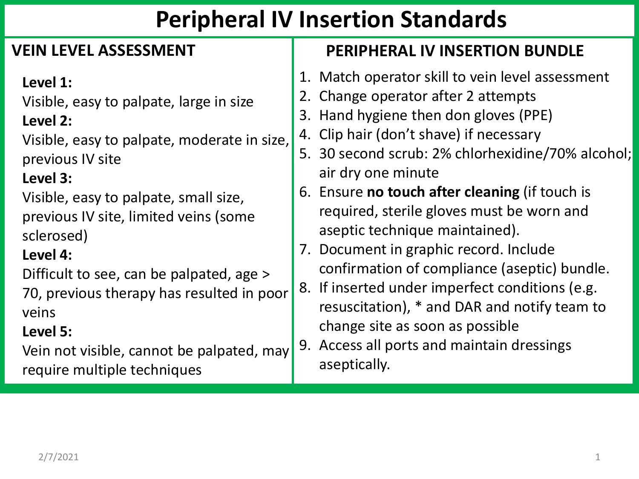# **Peripheral IV Insertion Standards**

| <b>VEIN LEVEL ASSESSMENT</b>                | <b>PERIPHERAL IV INSERTION BUNDLE</b>                 |
|---------------------------------------------|-------------------------------------------------------|
| Level 1:                                    | 1. Match operator skill to vein level assessment      |
| Visible, easy to palpate, large in size     | Change operator after 2 attempts                      |
| Level 2:                                    | 3. Hand hygiene then don gloves (PPE)                 |
| Visible, easy to palpate, moderate in size, | 4. Clip hair (don't shave) if necessary               |
| previous IV site                            | 5. 30 second scrub: 2% chlorhexidine/70% alcohol;     |
| Level 3:                                    | air dry one minute                                    |
| Visible, easy to palpate, small size,       | 6. Ensure <b>no touch after cleaning</b> (if touch is |
| previous IV site, limited veins (some       | required, sterile gloves must be worn and             |
| sclerosed)                                  | aseptic technique maintained).                        |
| Level 4:                                    | 7. Document in graphic record. Include                |
| Difficult to see, can be palpated, age >    | confirmation of compliance (aseptic) bundle.          |
| 70, previous therapy has resulted in poor   | 8. If inserted under imperfect conditions (e.g.       |
| veins                                       | resuscitation), * and DAR and notify team to          |
| Level 5:                                    | change site as soon as possible                       |
| Vein not visible, cannot be palpated, may   | 9. Access all ports and maintain dressings            |
| require multiple techniques                 | aseptically.                                          |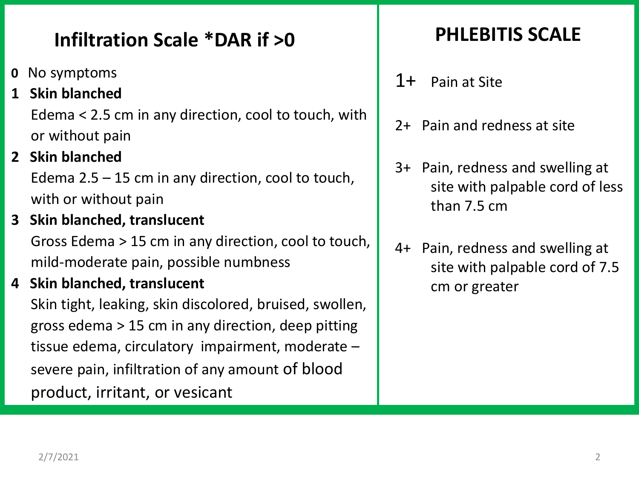### **Infiltration Scale \*DAR if >0**

- **0** No symptoms
- **1 Skin blanched**

Edema < 2.5 cm in any direction, cool to touch, with or without pain

**2 Skin blanched**

Edema 2.5 – 15 cm in any direction, cool to touch, with or without pain

**3 Skin blanched, translucent**

Gross Edema > 15 cm in any direction, cool to touch, mild-moderate pain, possible numbness

**4 Skin blanched, translucent**

Skin tight, leaking, skin discolored, bruised, swollen, gross edema > 15 cm in any direction, deep pitting tissue edema, circulatory impairment, moderate – severe pain, infiltration of any amount of blood product, irritant, or vesicant

### **PHLEBITIS SCALE**

- 1+ Pain at Site
- 2+ Pain and redness at site
- 3+ Pain, redness and swelling at site with palpable cord of less than 7.5 cm
- 4+ Pain, redness and swelling at site with palpable cord of 7.5 cm or greater